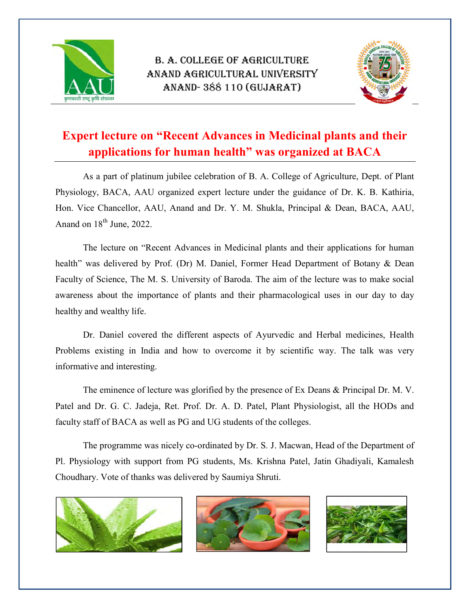

## B. A. COLLEGE OF AGRICULTURE ANAND AGRICULTURAL UNIVERSITY ANAND- 388 110 (GUJARAT)



## Expert lecture on "Recent Advances in Medicinal plants and their applications for human health" was organized at BACA

As a part of platinum jubilee celebration of B. A. College of Agriculture, Dept. of Plant Physiology, BACA, AAU organized expert lecture under the guidance of Dr. K. B. Kathiria, Hon. Vice Chancellor, AAU, Anand and Dr. Y. M. Shukla, Principal & Dean, BACA, AAU, Anand on  $18<sup>th</sup>$  June, 2022.

The lecture on "Recent Advances in Medicinal plants and their applications for human health" was delivered by Prof. (Dr) M. Daniel, Former Head Department of Botany & Dean Faculty of Science, The M. S. University of Baroda. The aim of the lecture was to make social awareness about the importance of plants and their pharmacological uses in our day to day healthy and wealthy life.

Dr. Daniel covered the different aspects of Ayurvedic and Herbal medicines, Health Problems existing in India and how to overcome it by scientific way. The talk was very informative and interesting.

The eminence of lecture was glorified by the presence of Ex Deans & Principal Dr. M. V. Patel and Dr. G. C. Jadeja, Ret. Prof. Dr. A. D. Patel, Plant Physiologist, all the HODs and faculty staff of BACA as well as PG and UG students of the colleges.

The programme was nicely co-ordinated by Dr. S. J. Macwan, Head of the Department of Pl. Physiology with support from PG students, Ms. Krishna Patel, Jatin Ghadiyali, Kamalesh Choudhary. Vote of thanks was delivered by Saumiya Shruti.